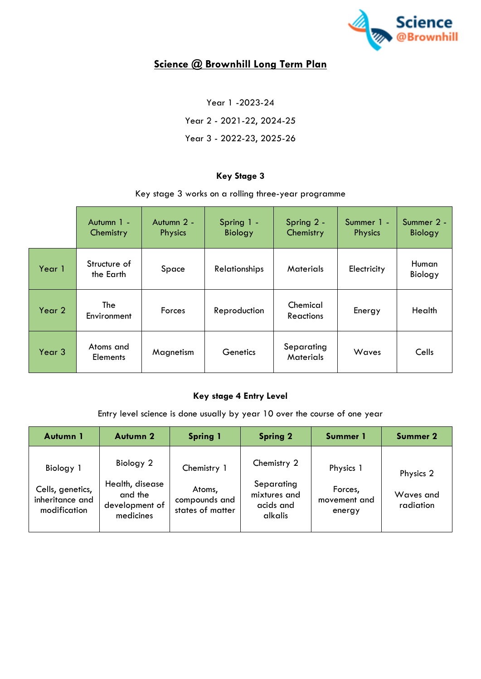

# **Science @ Brownhill Long Term Plan**

Year 1 -2023-24 Year 2 - 2021-22, 2024-25 Year 3 - 2022-23, 2025-26

## **Key Stage 3**

Key stage 3 works on a rolling three-year programme

|        | Autumn 1 -<br>Chemistry      | Autumn 2 -<br><b>Physics</b> | Spring 1 -<br><b>Biology</b> | Spring 2 -<br>Chemistry        | Summer 1 -<br><b>Physics</b> | Summer 2 -<br><b>Biology</b> |
|--------|------------------------------|------------------------------|------------------------------|--------------------------------|------------------------------|------------------------------|
| Year 1 | Structure of<br>the Earth    | Space                        | Relationships                | <b>Materials</b>               | Electricity                  | Human<br>Biology             |
| Year 2 | The<br>Environment           | Forces                       | Reproduction                 | Chemical<br><b>Reactions</b>   | Energy                       | Health                       |
| Year 3 | Atoms and<br><b>Elements</b> | Magnetism                    | Genetics                     | Separating<br><b>Materials</b> | <b>Waves</b>                 | Cells                        |

#### **Key stage 4 Entry Level**

Entry level science is done usually by year 10 over the course of one year

| Autumn 1                                                         | <b>Autumn 2</b>                                                        | <b>Spring 1</b>                                            | <b>Spring 2</b>                                                   | Summer 1                                       | <b>Summer 2</b>                     |
|------------------------------------------------------------------|------------------------------------------------------------------------|------------------------------------------------------------|-------------------------------------------------------------------|------------------------------------------------|-------------------------------------|
| Biology 1<br>Cells, genetics,<br>inheritance and<br>modification | Biology 2<br>Health, disease<br>and the<br>development of<br>medicines | Chemistry 1<br>Atoms,<br>compounds and<br>states of matter | Chemistry 2<br>Separating<br>mixtures and<br>acids and<br>alkalis | Physics 1<br>Forces,<br>movement and<br>energy | Physics 2<br>Waves and<br>radiation |